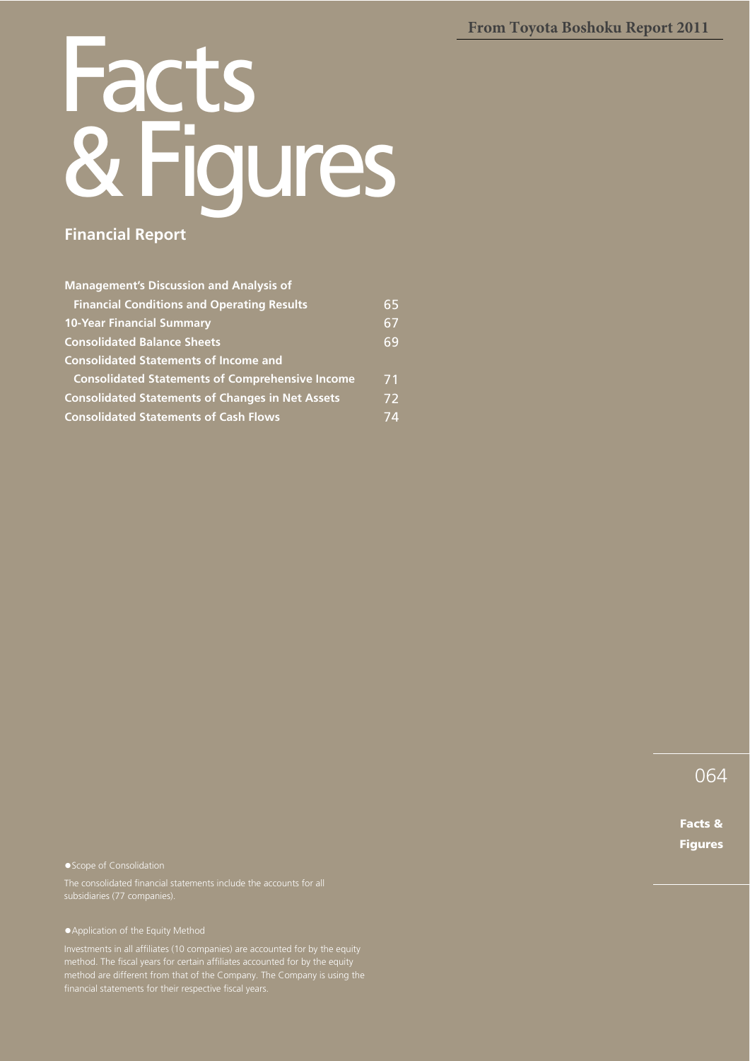**From Toyota Boshoku Report 2011**

# Facts<br>R. Eion **Figures Financial Report**

#### **Management's Discussion and Analysis of Financial Conditions and Operating Results 10-Year Financial Summary Consolidated Balance Sheets Consolidated Statements of Income and Consolidated Statements of Comprehensive Income Consolidated Statements of Changes in Net Assets Consolidated Statements of Cash Flows** 65 67 69 71 72 74

● Scope of Consolidation

tApplication of the Equity Method

Investments in all affiliates (10 companies) are accounted for by the equity

064

Facts & Figures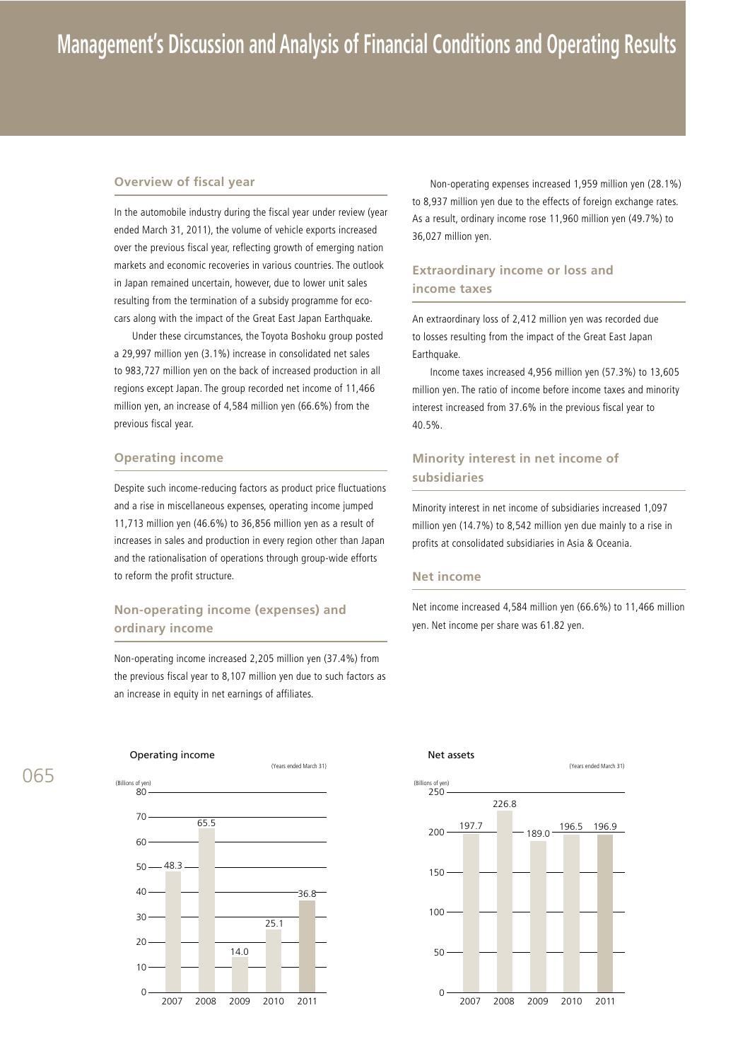#### **Overview of fiscal year**

In the automobile industry during the fiscal year under review (year ended March 31, 2011), the volume of vehicle exports increased over the previous fiscal year, reflecting growth of emerging nation markets and economic recoveries in various countries. The outlook in Japan remained uncertain, however, due to lower unit sales resulting from the termination of a subsidy programme for ecocars along with the impact of the Great East Japan Earthquake.

 Under these circumstances, the Toyota Boshoku group posted a 29,997 million yen (3.1%) increase in consolidated net sales to 983,727 million yen on the back of increased production in all regions except Japan. The group recorded net income of 11,466 million yen, an increase of 4,584 million yen (66.6%) from the previous fiscal year.

#### **Operating income**

Despite such income-reducing factors as product price fluctuations and a rise in miscellaneous expenses, operating income jumped 11,713 million yen (46.6%) to 36,856 million yen as a result of increases in sales and production in every region other than Japan and the rationalisation of operations through group-wide efforts to reform the profit structure.

# **Non-operating income (expenses) and ordinary income**

Non-operating income increased 2,205 million yen (37.4%) from the previous fiscal year to 8,107 million yen due to such factors as an increase in equity in net earnings of affiliates.

 Non-operating expenses increased 1,959 million yen (28.1%) to 8,937 million yen due to the effects of foreign exchange rates. As a result, ordinary income rose 11,960 million yen (49.7%) to 36,027 million yen.

### **Extraordinary income or loss and income taxes**

An extraordinary loss of 2,412 million yen was recorded due to losses resulting from the impact of the Great East Japan Earthquake.

Income taxes increased 4,956 million yen (57.3%) to 13,605 million yen. The ratio of income before income taxes and minority interest increased from 37.6% in the previous fiscal year to 40.5%.

## **Minority interest in net income of subsidiaries**

Minority interest in net income of subsidiaries increased 1,097 million yen (14.7%) to 8,542 million yen due mainly to a rise in profits at consolidated subsidiaries in Asia & Oceania.

#### **Net income**

Net income increased 4,584 million yen (66.6%) to 11,466 million yen. Net income per share was 61.82 yen.



2007 2008 2009 2010 2011 (Billions of yen) Net assets (Years ended March 31) 197.7 226.8 189.0 196.5 196.9  $\Omega$ 50 100 150 200 250

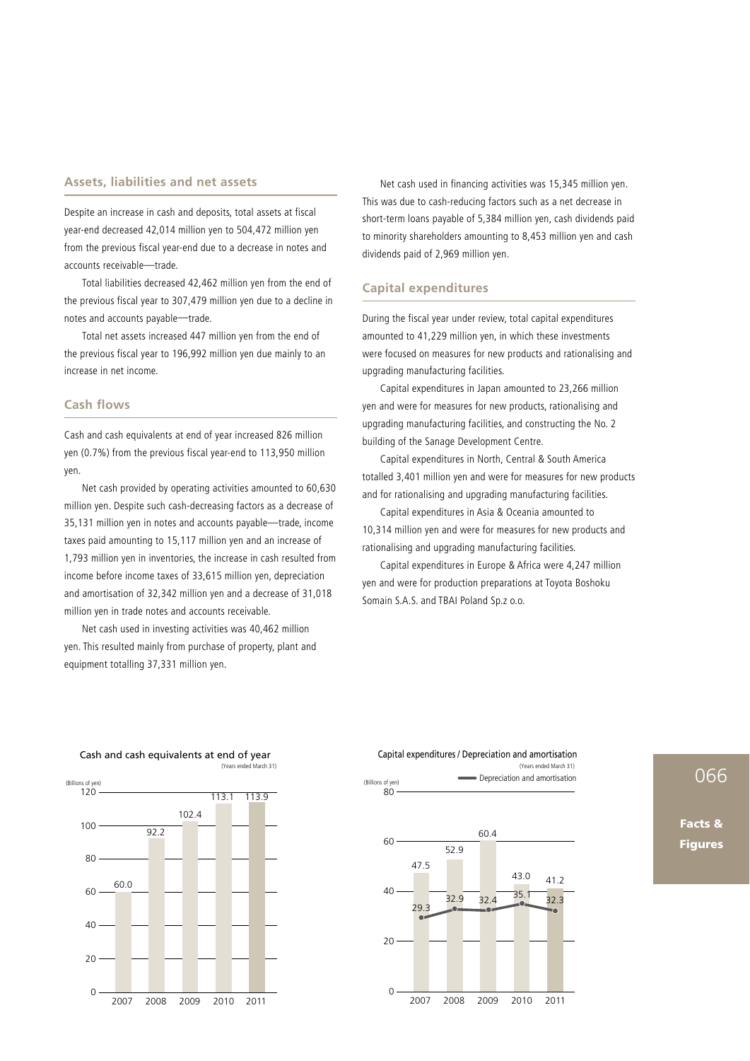#### **Assets, liabilities and net assets**

Despite an increase in cash and deposits, total assets at fiscal year-end decreased 42,014 million yen to 504,472 million yen from the previous fiscal year-end due to a decrease in notes and accounts receivable―trade.

 Total liabilities decreased 42,462 million yen from the end of the previous fiscal year to 307,479 million yen due to a decline in notes and accounts payable―trade.

 Total net assets increased 447 million yen from the end of the previous fiscal year to 196,992 million yen due mainly to an increase in net income.

#### **Cash flows**

Cash and cash equivalents at end of year increased 826 million yen (0.7%) from the previous fiscal year-end to 113,950 million yen.

 Net cash provided by operating activities amounted to 60,630 million yen. Despite such cash-decreasing factors as a decrease of 35,131 million yen in notes and accounts payable―trade, income taxes paid amounting to 15,117 million yen and an increase of 1,793 million yen in inventories, the increase in cash resulted from income before income taxes of 33,615 million yen, depreciation and amortisation of 32,342 million yen and a decrease of 31,018 million yen in trade notes and accounts receivable.

 Net cash used in investing activities was 40,462 million yen. This resulted mainly from purchase of property, plant and equipment totalling 37,331 million yen.

 Net cash used in financing activities was 15,345 million yen. This was due to cash-reducing factors such as a net decrease in short-term loans payable of 5,384 million yen, cash dividends paid to minority shareholders amounting to 8,453 million yen and cash dividends paid of 2,969 million yen.

#### **Capital expenditures**

During the fiscal year under review, total capital expenditures amounted to 41,229 million yen, in which these investments were focused on measures for new products and rationalising and upgrading manufacturing facilities.

 Capital expenditures in Japan amounted to 23,266 million yen and were for measures for new products, rationalising and upgrading manufacturing facilities, and constructing the No. 2 building of the Sanage Development Centre.

 Capital expenditures in North, Central & South America totalled 3,401 million yen and were for measures for new products and for rationalising and upgrading manufacturing facilities.

 Capital expenditures in Asia & Oceania amounted to 10,314 million yen and were for measures for new products and rationalising and upgrading manufacturing facilities.

 Capital expenditures in Europe & Africa were 4,247 million yen and were for production preparations at Toyota Boshoku Somain S.A.S. and TBAI Poland Sp.z o.o.

(Years ended March 31)



Cash and cash equivalents at end of year

#### (Billions of yen) Capital expenditures / Depreciation and amortisation Depreciation and amortisation



# 066

Facts & **Figures**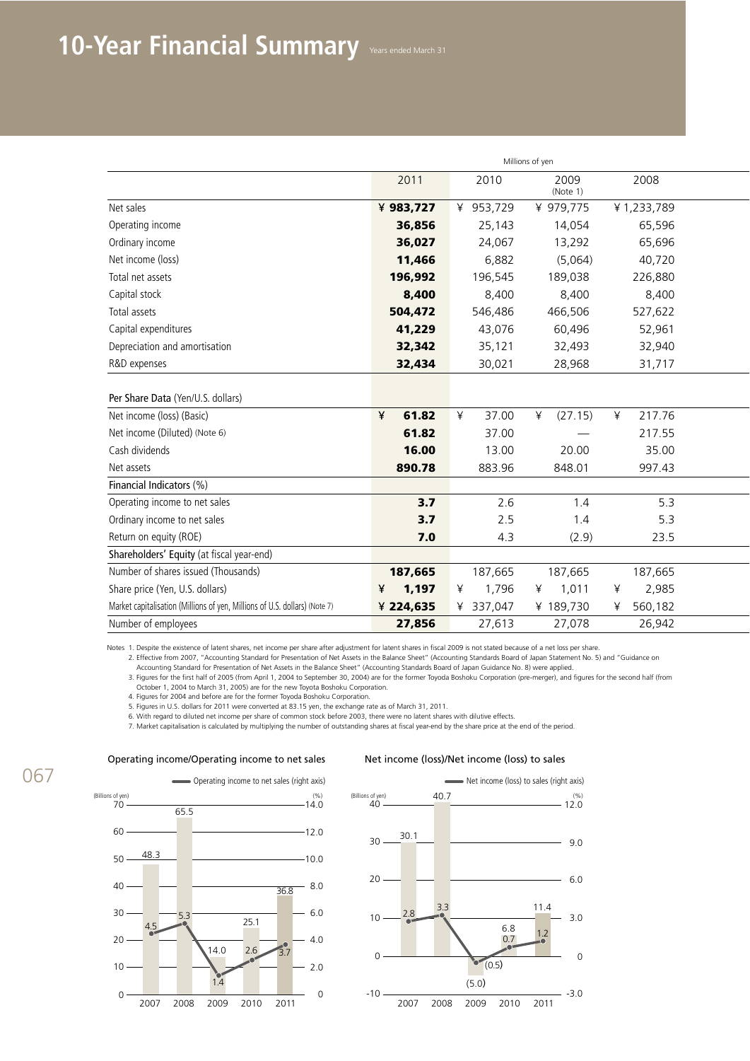|                                                                            | Millions of yen |                       |                                 |              |  |  |
|----------------------------------------------------------------------------|-----------------|-----------------------|---------------------------------|--------------|--|--|
|                                                                            | 2011            | 2010                  | 2009<br>(Note 1)                | 2008         |  |  |
| Net sales                                                                  | ¥ 983,727       | 953,729               | ¥ 979,775                       | ¥1,233,789   |  |  |
| Operating income                                                           | 36,856          | 25,143                | 14,054                          | 65,596       |  |  |
| Ordinary income                                                            | 36,027          | 24,067                | 13,292                          | 65,696       |  |  |
| Net income (loss)                                                          | 11,466          | 6,882                 | (5,064)                         | 40,720       |  |  |
| Total net assets                                                           | 196,992         | 196,545               | 189,038                         | 226,880      |  |  |
| Capital stock                                                              | 8,400           | 8,400                 | 8,400                           | 8,400        |  |  |
| Total assets                                                               | 504,472         | 546,486               | 466,506                         | 527,622      |  |  |
| Capital expenditures                                                       | 41,229          | 43,076                | 60,496                          | 52,961       |  |  |
| Depreciation and amortisation                                              | 32,342          | 35,121                | 32,493                          | 32,940       |  |  |
| R&D expenses                                                               | 32,434          | 30,021                | 28,968                          | 31,717       |  |  |
|                                                                            |                 |                       |                                 |              |  |  |
| Per Share Data (Yen/U.S. dollars)                                          |                 |                       |                                 |              |  |  |
| Net income (loss) (Basic)                                                  | 61.82<br>¥      | 37.00<br>$\mathbf{r}$ | ¥<br>(27.15)                    | 217.76<br>¥  |  |  |
| Net income (Diluted) (Note 6)                                              | 61.82           | 37.00                 | $\hspace{0.1mm}-\hspace{0.1mm}$ | 217.55       |  |  |
| Cash dividends                                                             | 16.00           | 13.00                 | 20.00                           | 35.00        |  |  |
| Net assets                                                                 | 890.78          | 883.96                | 848.01                          | 997.43       |  |  |
| Financial Indicators (%)                                                   |                 |                       |                                 |              |  |  |
| Operating income to net sales                                              | 3.7             | 2.6                   | 1.4                             | 5.3          |  |  |
| Ordinary income to net sales                                               | 3.7             | 2.5                   | 1.4                             | 5.3          |  |  |
| Return on equity (ROE)                                                     | 7.0             | 4.3                   | (2.9)                           | 23.5         |  |  |
| Shareholders' Equity (at fiscal year-end)                                  |                 |                       |                                 |              |  |  |
| Number of shares issued (Thousands)                                        | 187,665         | 187,665               | 187,665                         | 187,665      |  |  |
| Share price (Yen, U.S. dollars)                                            | 1,197<br>¥      | 1,796                 | ¥<br>1,011                      | 2,985<br>¥   |  |  |
| Market capitalisation (Millions of yen, Millions of U.S. dollars) (Note 7) | ¥ 224,635       | 337,047               | ¥ 189,730                       | 560,182<br>¥ |  |  |
| Number of employees                                                        | 27,856          | 27,613                | 27,078                          | 26,942       |  |  |

Notes 1. Despite the existence of latent shares, net income per share after adjustment for latent shares in fiscal 2009 is not stated because of a net loss per share.

2. Effective from 2007, "Accounting Standard for Presentation of Net Assets in the Balance Sheet" (Accounting Standards Board of Japan Statement No. 5) and "Guidance on

Accounting Standard for Presentation of Net Assets in the Balance Sheet" (Accounting Standards Board of Japan Guidance No. 8) were applied.

3. Figures for the first half of 2005 (from April 1, 2004 to September 30, 2004) are for the former Toyoda Boshoku Corporation (pre-merger), and figures for the second half (from<br>October 1, 2004 to March 31, 2005) are for

4. Figures for 2004 and before are for the former Toyoda Boshoku Corporation.

5. Figures in U.S. dollars for 2011 were converted at 83.15 yen, the exchange rate as of March 31, 2011.

6. With regard to diluted net income per share of common stock before 2003, there were no latent shares with dilutive effects.

7. Market capitalisation is calculated by multiplying the number of outstanding shares at fiscal year-end by the share price at the end of the period.

# 067

#### Operating income/Operating income to net sales Net income (loss)/Net income (loss) to sales